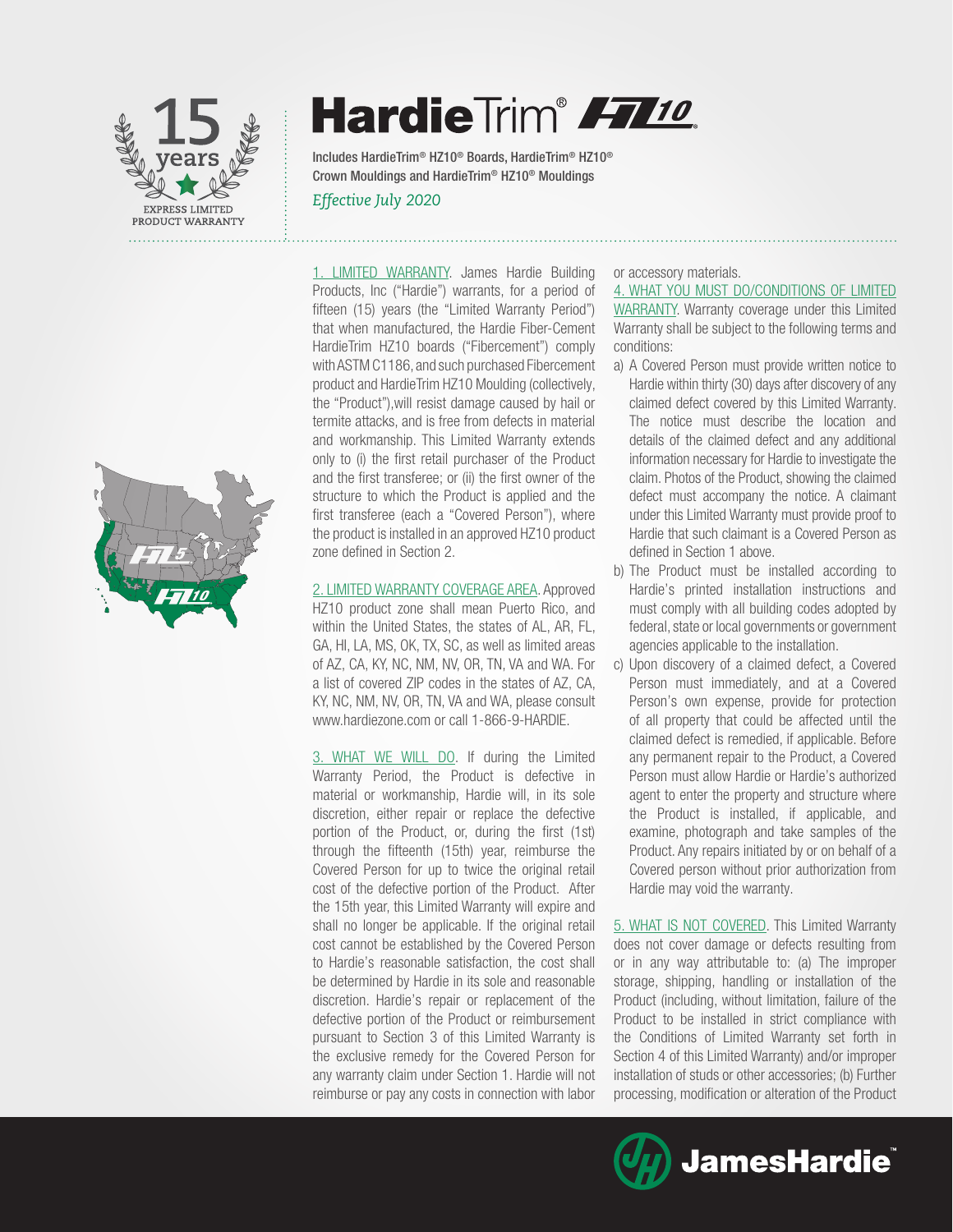



# HardieTrim® FT10

Includes HardieTrim® HZ10® Boards, HardieTrim® HZ10® Crown Mouldings and HardieTrim® HZ10® Mouldings

### *Effective July 2020*

1. LIMITED WARRANTY. James Hardie Building Products, Inc ("Hardie") warrants, for a period of fifteen (15) years (the "Limited Warranty Period") that when manufactured, the Hardie Fiber-Cement HardieTrim HZ10 boards ("Fibercement") comply with ASTM C1186, and such purchased Fibercement product and HardieTrim HZ10 Moulding (collectively, the "Product"),will resist damage caused by hail or termite attacks, and is free from defects in material and workmanship. This Limited Warranty extends only to (i) the first retail purchaser of the Product and the first transferee; or (ii) the first owner of the structure to which the Product is applied and the first transferee (each a "Covered Person"), where the product is installed in an approved HZ10 product zone defined in Section 2.

2. LIMITED WARRANTY COVERAGE AREA. Approved HZ10 product zone shall mean Puerto Rico, and within the United States, the states of AL, AR, FL, GA, HI, LA, MS, OK, TX, SC, as well as limited areas of AZ, CA, KY, NC, NM, NV, OR, TN, VA and WA. For a list of covered ZIP codes in the states of AZ, CA, KY, NC, NM, NV, OR, TN, VA and WA, please consult www.hardiezone.com or call 1-866-9-HARDIE.

3. WHAT WE WILL DO. If during the Limited Warranty Period, the Product is defective in material or workmanship, Hardie will, in its sole discretion, either repair or replace the defective portion of the Product, or, during the first (1st) through the fifteenth (15th) year, reimburse the Covered Person for up to twice the original retail cost of the defective portion of the Product. After the 15th year, this Limited Warranty will expire and shall no longer be applicable. If the original retail cost cannot be established by the Covered Person to Hardie's reasonable satisfaction, the cost shall be determined by Hardie in its sole and reasonable discretion. Hardie's repair or replacement of the defective portion of the Product or reimbursement pursuant to Section 3 of this Limited Warranty is the exclusive remedy for the Covered Person for any warranty claim under Section 1. Hardie will not reimburse or pay any costs in connection with labor

or accessory materials.

4. WHAT YOU MUST DO/CONDITIONS OF LIMITED WARRANTY. Warranty coverage under this Limited Warranty shall be subject to the following terms and conditions:

- a) A Covered Person must provide written notice to Hardie within thirty (30) days after discovery of any claimed defect covered by this Limited Warranty. The notice must describe the location and details of the claimed defect and any additional information necessary for Hardie to investigate the claim. Photos of the Product, showing the claimed defect must accompany the notice. A claimant under this Limited Warranty must provide proof to Hardie that such claimant is a Covered Person as defined in Section 1 above.
- b) The Product must be installed according to Hardie's printed installation instructions and must comply with all building codes adopted by federal, state or local governments or government agencies applicable to the installation.
- c) Upon discovery of a claimed defect, a Covered Person must immediately, and at a Covered Person's own expense, provide for protection of all property that could be affected until the claimed defect is remedied, if applicable. Before any permanent repair to the Product, a Covered Person must allow Hardie or Hardie's authorized agent to enter the property and structure where the Product is installed, if applicable, and examine, photograph and take samples of the Product. Any repairs initiated by or on behalf of a Covered person without prior authorization from Hardie may void the warranty.

5. WHAT IS NOT COVERED. This Limited Warranty does not cover damage or defects resulting from or in any way attributable to: (a) The improper storage, shipping, handling or installation of the Product (including, without limitation, failure of the Product to be installed in strict compliance with the Conditions of Limited Warranty set forth in Section 4 of this Limited Warranty) and/or improper installation of studs or other accessories; (b) Further processing, modification or alteration of the Product